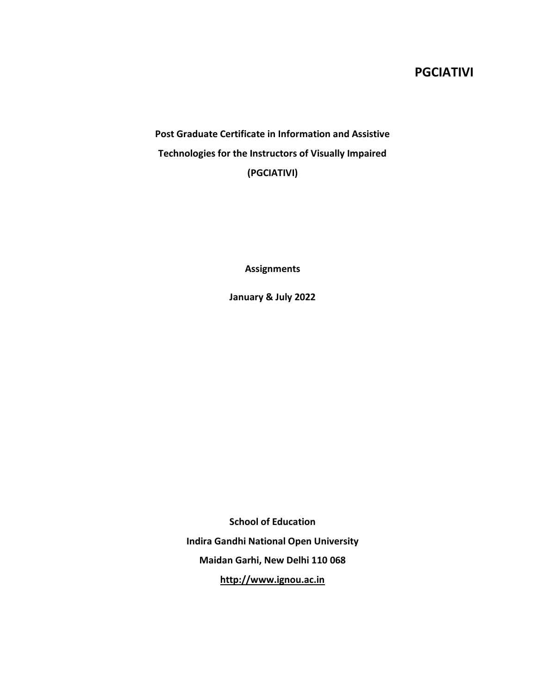# **PGCIATIVI**

**Post Graduate Certificate in Information and Assistive Technologies for the Instructors of Visually Impaired (PGCIATIVI)**

**Assignments**

**January & July 2022**

**School of Education Indira Gandhi National Open University Maidan Garhi, New Delhi 110 068 http://www.ignou.ac.in**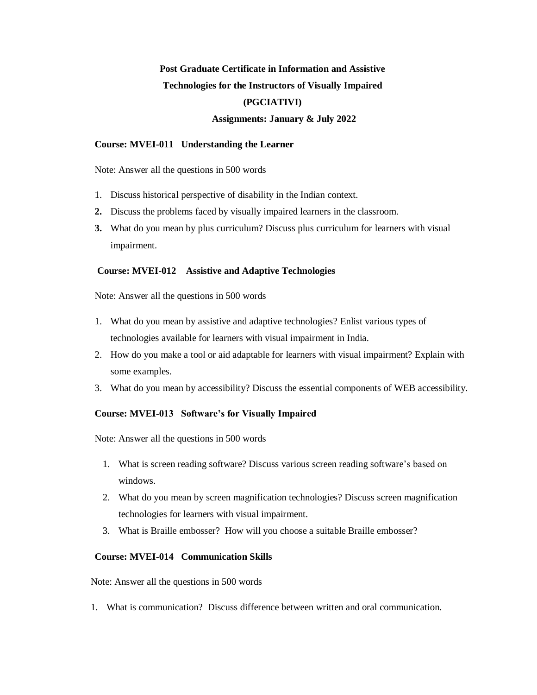# **Post Graduate Certificate in Information and Assistive Technologies for the Instructors of Visually Impaired (PGCIATIVI)**

### **Assignments: January & July 2022**

#### **Course: MVEI-011 Understanding the Learner**

Note: Answer all the questions in 500 words

- 1. Discuss historical perspective of disability in the Indian context.
- **2.** Discuss the problems faced by visually impaired learners in the classroom.
- **3.** What do you mean by plus curriculum? Discuss plus curriculum for learners with visual impairment.

#### **Course: MVEI-012 Assistive and Adaptive Technologies**

Note: Answer all the questions in 500 words

- 1. What do you mean by assistive and adaptive technologies? Enlist various types of technologies available for learners with visual impairment in India.
- 2. How do you make a tool or aid adaptable for learners with visual impairment? Explain with some examples.
- 3. What do you mean by accessibility? Discuss the essential components of WEB accessibility.

### **Course: MVEI-013 Software's for Visually Impaired**

Note: Answer all the questions in 500 words

- 1. What is screen reading software? Discuss various screen reading software's based on windows.
- 2. What do you mean by screen magnification technologies? Discuss screen magnification technologies for learners with visual impairment.
- 3. What is Braille embosser? How will you choose a suitable Braille embosser?

#### **Course: MVEI-014 Communication Skills**

Note: Answer all the questions in 500 words

1. What is communication? Discuss difference between written and oral communication.